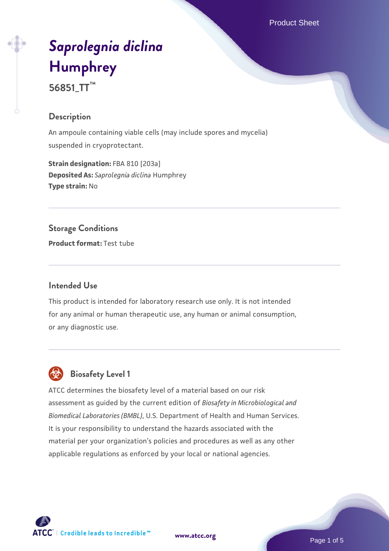Product Sheet

# *[Saprolegnia diclina](https://www.atcc.org/products/56851_tt)* **[Humphrey](https://www.atcc.org/products/56851_tt)**

**56851\_TT™**

### **Description**

An ampoule containing viable cells (may include spores and mycelia) suspended in cryoprotectant.

**Strain designation: FBA 810 [203a] Deposited As:** *Saprolegnia diclina* Humphrey **Type strain:** No

# **Storage Conditions**

**Product format:** Test tube

# **Intended Use**

This product is intended for laboratory research use only. It is not intended for any animal or human therapeutic use, any human or animal consumption, or any diagnostic use.

# **Biosafety Level 1**

ATCC determines the biosafety level of a material based on our risk assessment as guided by the current edition of *Biosafety in Microbiological and Biomedical Laboratories (BMBL)*, U.S. Department of Health and Human Services. It is your responsibility to understand the hazards associated with the material per your organization's policies and procedures as well as any other applicable regulations as enforced by your local or national agencies.

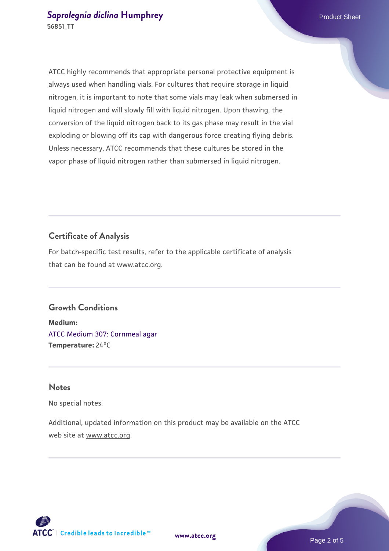ATCC highly recommends that appropriate personal protective equipment is always used when handling vials. For cultures that require storage in liquid nitrogen, it is important to note that some vials may leak when submersed in liquid nitrogen and will slowly fill with liquid nitrogen. Upon thawing, the conversion of the liquid nitrogen back to its gas phase may result in the vial exploding or blowing off its cap with dangerous force creating flying debris. Unless necessary, ATCC recommends that these cultures be stored in the vapor phase of liquid nitrogen rather than submersed in liquid nitrogen.

### **Certificate of Analysis**

For batch-specific test results, refer to the applicable certificate of analysis that can be found at www.atcc.org.

#### **Growth Conditions**

**Medium:**  [ATCC Medium 307: Cornmeal agar](https://www.atcc.org/-/media/product-assets/documents/microbial-media-formulations/3/0/7/atcc-medium-307.pdf?rev=5cd8aaa5fcde44f5873396cc2a06f590) **Temperature:** 24°C

#### **Notes**

No special notes.

Additional, updated information on this product may be available on the ATCC web site at www.atcc.org.

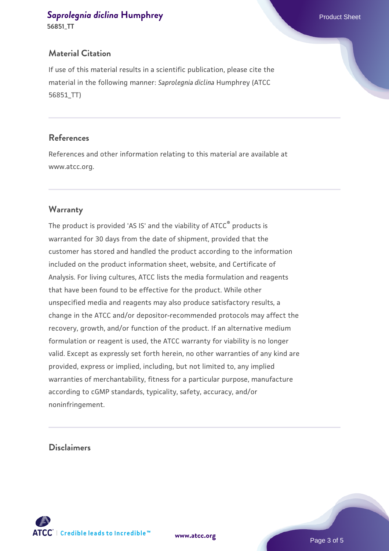# **[Saprolegnia diclina](https://www.atcc.org/products/56851_tt) [Humphrey](https://www.atcc.org/products/56851_tt) Product Sheet** Product Sheet

**56851\_TT**

### **Material Citation**

If use of this material results in a scientific publication, please cite the material in the following manner: *Saprolegnia diclina* Humphrey (ATCC 56851\_TT)

#### **References**

References and other information relating to this material are available at www.atcc.org.

# **Warranty**

The product is provided 'AS IS' and the viability of ATCC® products is warranted for 30 days from the date of shipment, provided that the customer has stored and handled the product according to the information included on the product information sheet, website, and Certificate of Analysis. For living cultures, ATCC lists the media formulation and reagents that have been found to be effective for the product. While other unspecified media and reagents may also produce satisfactory results, a change in the ATCC and/or depositor-recommended protocols may affect the recovery, growth, and/or function of the product. If an alternative medium formulation or reagent is used, the ATCC warranty for viability is no longer valid. Except as expressly set forth herein, no other warranties of any kind are provided, express or implied, including, but not limited to, any implied warranties of merchantability, fitness for a particular purpose, manufacture according to cGMP standards, typicality, safety, accuracy, and/or noninfringement.

#### **Disclaimers**

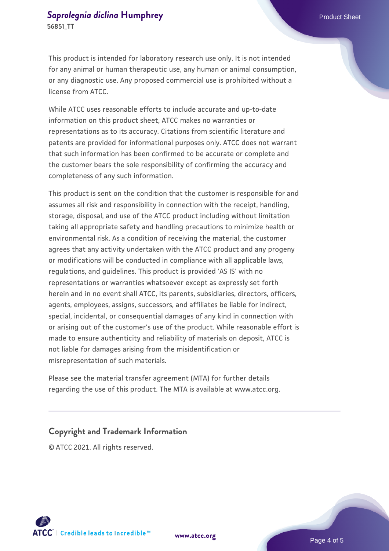This product is intended for laboratory research use only. It is not intended for any animal or human therapeutic use, any human or animal consumption, or any diagnostic use. Any proposed commercial use is prohibited without a license from ATCC.

While ATCC uses reasonable efforts to include accurate and up-to-date information on this product sheet, ATCC makes no warranties or representations as to its accuracy. Citations from scientific literature and patents are provided for informational purposes only. ATCC does not warrant that such information has been confirmed to be accurate or complete and the customer bears the sole responsibility of confirming the accuracy and completeness of any such information.

This product is sent on the condition that the customer is responsible for and assumes all risk and responsibility in connection with the receipt, handling, storage, disposal, and use of the ATCC product including without limitation taking all appropriate safety and handling precautions to minimize health or environmental risk. As a condition of receiving the material, the customer agrees that any activity undertaken with the ATCC product and any progeny or modifications will be conducted in compliance with all applicable laws, regulations, and guidelines. This product is provided 'AS IS' with no representations or warranties whatsoever except as expressly set forth herein and in no event shall ATCC, its parents, subsidiaries, directors, officers, agents, employees, assigns, successors, and affiliates be liable for indirect, special, incidental, or consequential damages of any kind in connection with or arising out of the customer's use of the product. While reasonable effort is made to ensure authenticity and reliability of materials on deposit, ATCC is not liable for damages arising from the misidentification or misrepresentation of such materials.

Please see the material transfer agreement (MTA) for further details regarding the use of this product. The MTA is available at www.atcc.org.

#### **Copyright and Trademark Information**

© ATCC 2021. All rights reserved.